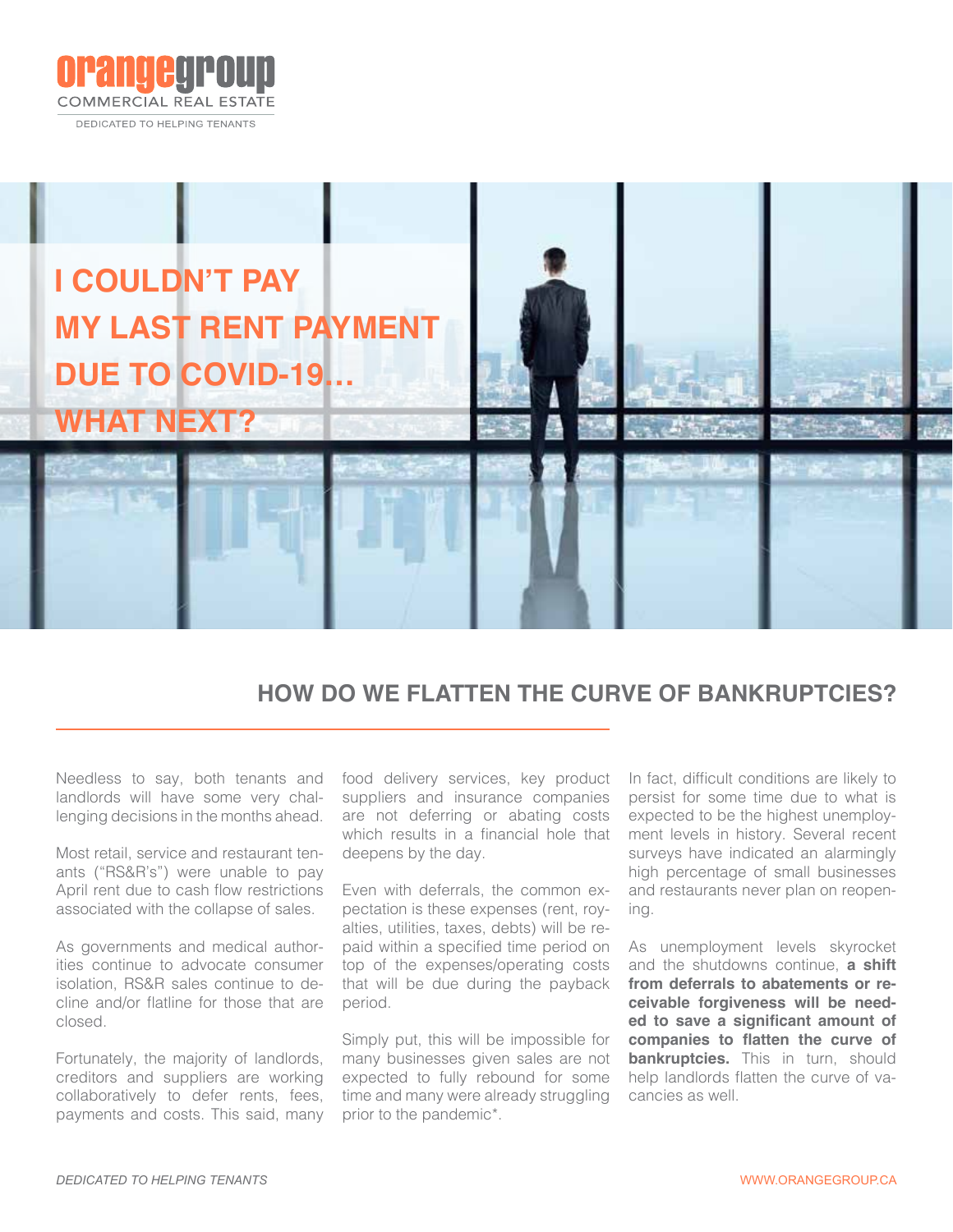



# **HOW DO WE FLATTEN THE CURVE OF BANKRUPTCIES?**

Needless to say, both tenants and landlords will have some very challenging decisions in the months ahead.

Most retail, service and restaurant tenants ("RS&R's") were unable to pay April rent due to cash flow restrictions associated with the collapse of sales.

As governments and medical authorities continue to advocate consumer isolation, RS&R sales continue to decline and/or flatline for those that are closed.

Fortunately, the majority of landlords, creditors and suppliers are working collaboratively to defer rents, fees, payments and costs. This said, many food delivery services, key product suppliers and insurance companies are not deferring or abating costs which results in a financial hole that deepens by the day.

Even with deferrals, the common expectation is these expenses (rent, royalties, utilities, taxes, debts) will be repaid within a specified time period on top of the expenses/operating costs that will be due during the payback period.

Simply put, this will be impossible for many businesses given sales are not expected to fully rebound for some time and many were already struggling prior to the pandemic\*.

In fact, difficult conditions are likely to persist for some time due to what is expected to be the highest unemployment levels in history. Several recent surveys have indicated an alarmingly high percentage of small businesses and restaurants never plan on reopening.

As unemployment levels skyrocket and the shutdowns continue, **a shift from deferrals to abatements or receivable forgiveness will be needed to save a significant amount of companies to flatten the curve of bankruptcies.** This in turn, should help landlords flatten the curve of vacancies as well.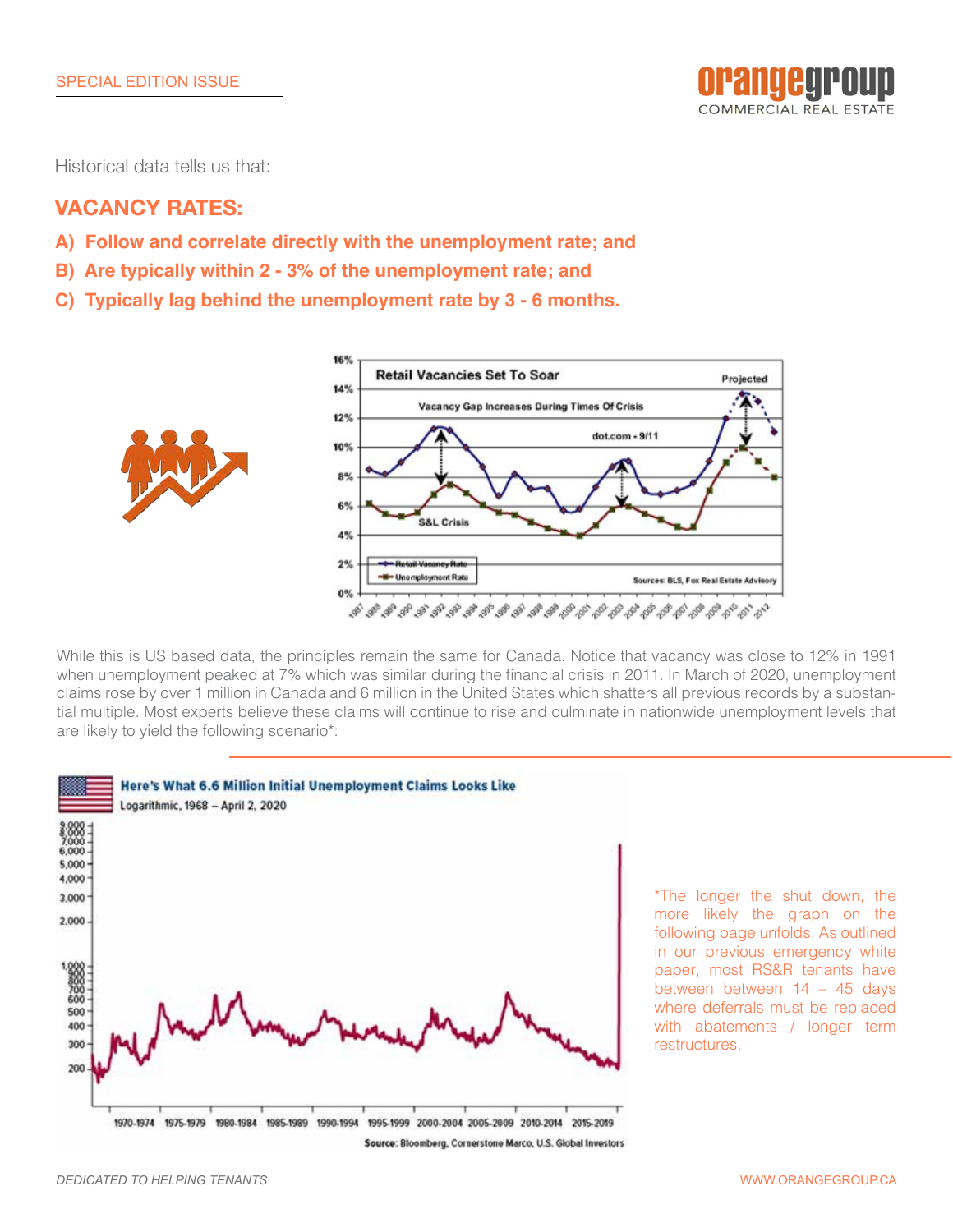

Historical data tells us that:

## **VACANCY RATES:**

- **A) Follow and correlate directly with the unemployment rate; and**
- **B) Are typically within 2 3% of the unemployment rate; and**
- **C) Typically lag behind the unemployment rate by 3 6 months.**



While this is US based data, the principles remain the same for Canada. Notice that vacancy was close to 12% in 1991 when unemployment peaked at 7% which was similar during the financial crisis in 2011. In March of 2020, unemployment claims rose by over 1 million in Canada and 6 million in the United States which shatters all previous records by a substantial multiple. Most experts believe these claims will continue to rise and culminate in nationwide unemployment levels that are likely to yield the following scenario\*:

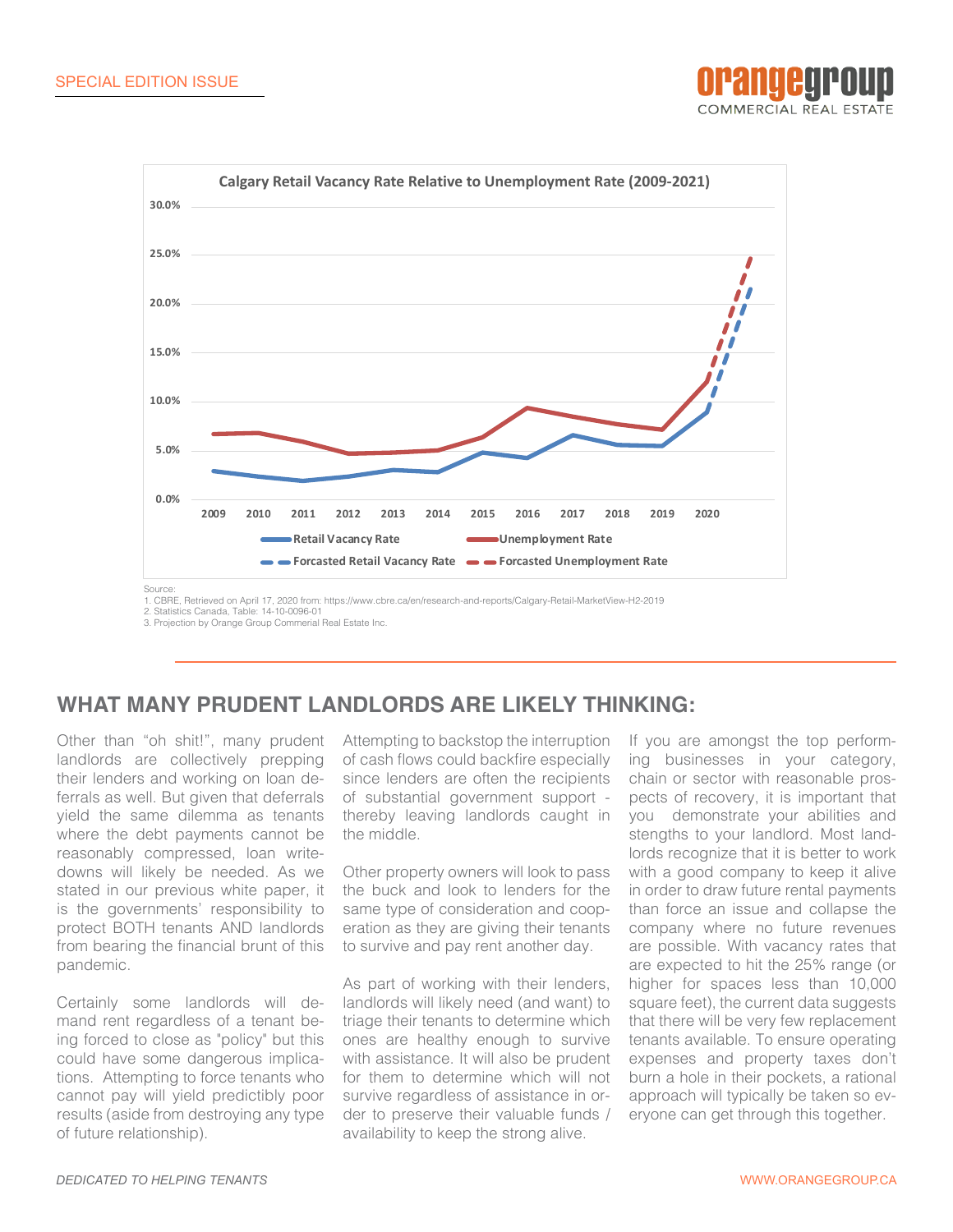



1. CBRE, Retrieved on April 17, 2020 from: https://www.cbre.ca/en/research-and-reports/Calgary-Retail-MarketView-H2-2019 2. Statistics Canada, Table: 14-10-0096-01

3. Projection by Orange Group Commerial Real Estate Inc.

# **WHAT MANY PRUDENT LANDLORDS ARE LIKELY THINKING:**

Other than "oh shit!", many prudent landlords are collectively prepping their lenders and working on loan deferrals as well. But given that deferrals yield the same dilemma as tenants where the debt payments cannot be reasonably compressed, loan writedowns will likely be needed. As we stated in our previous white paper, it is the governments' responsibility to protect BOTH tenants AND landlords from bearing the financial brunt of this pandemic.

Certainly some landlords will demand rent regardless of a tenant being forced to close as "policy" but this could have some dangerous implications. Attempting to force tenants who cannot pay will yield predictibly poor results (aside from destroying any type of future relationship).

Attempting to backstop the interruption of cash flows could backfire especially since lenders are often the recipients of substantial government support thereby leaving landlords caught in the middle.

Other property owners will look to pass the buck and look to lenders for the same type of consideration and cooperation as they are giving their tenants to survive and pay rent another day.

As part of working with their lenders, landlords will likely need (and want) to triage their tenants to determine which ones are healthy enough to survive with assistance. It will also be prudent for them to determine which will not survive regardless of assistance in order to preserve their valuable funds / availability to keep the strong alive.

If you are amongst the top performing businesses in your category, chain or sector with reasonable prospects of recovery, it is important that you demonstrate your abilities and stengths to your landlord. Most landlords recognize that it is better to work with a good company to keep it alive in order to draw future rental payments than force an issue and collapse the company where no future revenues are possible. With vacancy rates that are expected to hit the 25% range (or higher for spaces less than 10,000 square feet), the current data suggests that there will be very few replacement tenants available. To ensure operating expenses and property taxes don't burn a hole in their pockets, a rational approach will typically be taken so everyone can get through this together.